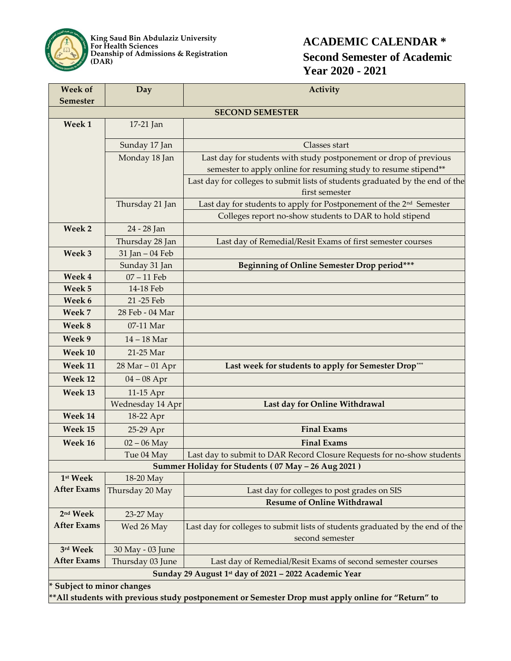

**King Saud Bin Abdulaziz University For Health Sciences Deanship of Admissions & Registration (DAR)**

## **ACADEMIC CALENDAR \* Second Semester of Academic Year 2020 - 2021**

| <b>Week of</b><br><b>Semester</b>                                                                   | Day                | Activity                                                                                         |
|-----------------------------------------------------------------------------------------------------|--------------------|--------------------------------------------------------------------------------------------------|
| <b>SECOND SEMESTER</b>                                                                              |                    |                                                                                                  |
| Week 1                                                                                              | 17-21 Jan          |                                                                                                  |
|                                                                                                     |                    |                                                                                                  |
|                                                                                                     | Sunday 17 Jan      | Classes start                                                                                    |
|                                                                                                     | Monday 18 Jan      | Last day for students with study postponement or drop of previous                                |
|                                                                                                     |                    | semester to apply online for resuming study to resume stipend**                                  |
|                                                                                                     |                    | Last day for colleges to submit lists of students graduated by the end of the<br>first semester  |
|                                                                                                     | Thursday 21 Jan    | Last day for students to apply for Postponement of the 2 <sup>nd</sup> Semester                  |
|                                                                                                     |                    | Colleges report no-show students to DAR to hold stipend                                          |
| Week 2                                                                                              | 24 - 28 Jan        |                                                                                                  |
|                                                                                                     | Thursday 28 Jan    | Last day of Remedial/Resit Exams of first semester courses                                       |
| Week 3                                                                                              | 31 Jan - 04 Feb    |                                                                                                  |
|                                                                                                     | Sunday 31 Jan      | Beginning of Online Semester Drop period***                                                      |
| Week 4                                                                                              | 07-11 Feb          |                                                                                                  |
| Week 5                                                                                              | 14-18 Feb          |                                                                                                  |
| Week 6                                                                                              | 21-25 Feb          |                                                                                                  |
| Week 7                                                                                              | 28 Feb - 04 Mar    |                                                                                                  |
| Week 8                                                                                              | 07-11 Mar          |                                                                                                  |
| Week 9                                                                                              | $14 - 18$ Mar      |                                                                                                  |
| Week 10                                                                                             | 21-25 Mar          |                                                                                                  |
| Week 11                                                                                             | $28$ Mar $-01$ Apr | Last week for students to apply for Semester Drop***                                             |
| Week 12                                                                                             | $04 - 08$ Apr      |                                                                                                  |
| Week 13                                                                                             | 11-15 Apr          |                                                                                                  |
|                                                                                                     | Wednesday 14 Apr   | Last day for Online Withdrawal                                                                   |
| Week 14                                                                                             | 18-22 Apr          |                                                                                                  |
| Week 15                                                                                             | 25-29 Apr          | <b>Final Exams</b>                                                                               |
| Week 16                                                                                             | $02 - 06$ May      | <b>Final Exams</b>                                                                               |
|                                                                                                     | Tue 04 May         | Last day to submit to DAR Record Closure Requests for no-show students                           |
| Summer Holiday for Students (07 May - 26 Aug 2021)                                                  |                    |                                                                                                  |
| 1st Week                                                                                            | 18-20 May          |                                                                                                  |
| <b>After Exams</b>                                                                                  | Thursday 20 May    | Last day for colleges to post grades on SIS                                                      |
|                                                                                                     |                    | <b>Resume of Online Withdrawal</b>                                                               |
| 2 <sup>nd</sup> Week                                                                                | 23-27 May          |                                                                                                  |
| <b>After Exams</b>                                                                                  | Wed 26 May         | Last day for colleges to submit lists of students graduated by the end of the<br>second semester |
| 3rd Week                                                                                            | 30 May - 03 June   |                                                                                                  |
| <b>After Exams</b>                                                                                  | Thursday 03 June   | Last day of Remedial/Resit Exams of second semester courses                                      |
| Sunday 29 August 1st day of 2021 - 2022 Academic Year                                               |                    |                                                                                                  |
| Subject to minor changes                                                                            |                    |                                                                                                  |
| ** All students with previous study postponement or Semester Drop must apply online for "Return" to |                    |                                                                                                  |